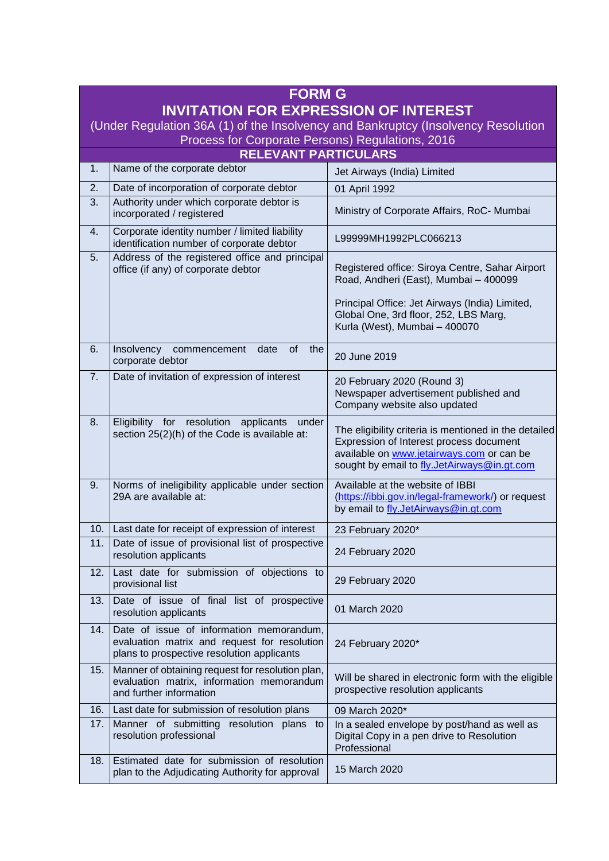| <b>FORM G</b><br><b>INVITATION FOR EXPRESSION OF INTEREST</b><br>(Under Regulation 36A (1) of the Insolvency and Bankruptcy (Insolvency Resolution |                                                                                                                                        |                                                                                                                                                                                              |  |
|----------------------------------------------------------------------------------------------------------------------------------------------------|----------------------------------------------------------------------------------------------------------------------------------------|----------------------------------------------------------------------------------------------------------------------------------------------------------------------------------------------|--|
| Process for Corporate Persons) Regulations, 2016                                                                                                   |                                                                                                                                        |                                                                                                                                                                                              |  |
| <b>RELEVANT PARTICULARS</b>                                                                                                                        |                                                                                                                                        |                                                                                                                                                                                              |  |
| 1.                                                                                                                                                 | Name of the corporate debtor                                                                                                           | Jet Airways (India) Limited                                                                                                                                                                  |  |
| 2.                                                                                                                                                 | Date of incorporation of corporate debtor                                                                                              | 01 April 1992                                                                                                                                                                                |  |
| 3.                                                                                                                                                 | Authority under which corporate debtor is<br>incorporated / registered                                                                 | Ministry of Corporate Affairs, RoC- Mumbai                                                                                                                                                   |  |
| 4.                                                                                                                                                 | Corporate identity number / limited liability<br>identification number of corporate debtor                                             | L99999MH1992PLC066213                                                                                                                                                                        |  |
| 5.                                                                                                                                                 | Address of the registered office and principal<br>office (if any) of corporate debtor                                                  | Registered office: Siroya Centre, Sahar Airport<br>Road, Andheri (East), Mumbai - 400099                                                                                                     |  |
|                                                                                                                                                    |                                                                                                                                        | Principal Office: Jet Airways (India) Limited,<br>Global One, 3rd floor, 252, LBS Marg,<br>Kurla (West), Mumbai - 400070                                                                     |  |
| 6.                                                                                                                                                 | Insolvency commencement<br>date<br><b>of</b><br>the<br>corporate debtor                                                                | 20 June 2019                                                                                                                                                                                 |  |
| 7.                                                                                                                                                 | Date of invitation of expression of interest                                                                                           | 20 February 2020 (Round 3)<br>Newspaper advertisement published and<br>Company website also updated                                                                                          |  |
| 8.                                                                                                                                                 | Eligibility for resolution<br>applicants<br>under<br>section 25(2)(h) of the Code is available at:                                     | The eligibility criteria is mentioned in the detailed<br>Expression of Interest process document<br>available on www.jetairways.com or can be<br>sought by email to fly.JetAirways@in.gt.com |  |
| 9.                                                                                                                                                 | Norms of ineligibility applicable under section<br>29A are available at:                                                               | Available at the website of IBBI<br>(https://ibbi.gov.in/legal-framework/) or request<br>by email to fly.JetAirways@in.gt.com                                                                |  |
| 10.                                                                                                                                                | Last date for receipt of expression of interest                                                                                        | 23 February 2020*                                                                                                                                                                            |  |
| 11.                                                                                                                                                | Date of issue of provisional list of prospective<br>resolution applicants                                                              | 24 February 2020                                                                                                                                                                             |  |
| 12.                                                                                                                                                | Last date for submission of objections to<br>provisional list                                                                          | 29 February 2020                                                                                                                                                                             |  |
| 13.                                                                                                                                                | Date of issue of final list of prospective<br>resolution applicants                                                                    | 01 March 2020                                                                                                                                                                                |  |
| 14.                                                                                                                                                | Date of issue of information memorandum,<br>evaluation matrix and request for resolution<br>plans to prospective resolution applicants | 24 February 2020*                                                                                                                                                                            |  |
| 15.                                                                                                                                                | Manner of obtaining request for resolution plan,<br>evaluation matrix, information memorandum<br>and further information               | Will be shared in electronic form with the eligible<br>prospective resolution applicants                                                                                                     |  |
| 16.                                                                                                                                                | Last date for submission of resolution plans                                                                                           | 09 March 2020*                                                                                                                                                                               |  |
| 17.                                                                                                                                                | Manner of submitting resolution plans<br>to<br>resolution professional                                                                 | In a sealed envelope by post/hand as well as<br>Digital Copy in a pen drive to Resolution<br>Professional                                                                                    |  |
| 18.                                                                                                                                                | Estimated date for submission of resolution<br>plan to the Adjudicating Authority for approval                                         | 15 March 2020                                                                                                                                                                                |  |